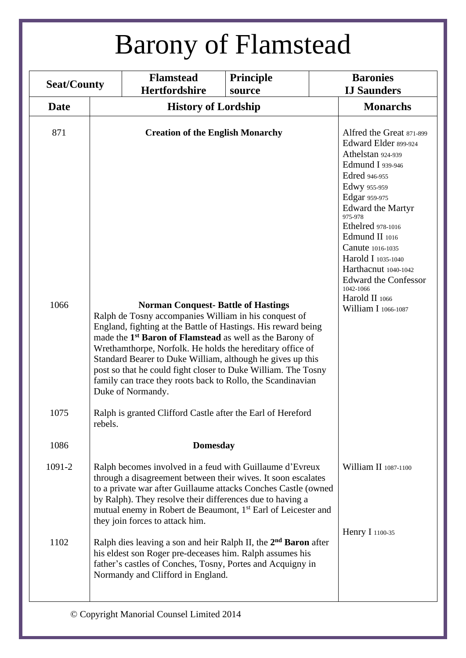| <b>Seat/County</b> |                                      | <b>Flamstead</b><br>Hertfordshire                                                                                                                                                                                                                                                                                                                                                                                                                                                                                           | <b>Principle</b> |                                                                                          | <b>Baronies</b><br><b>IJ Saunders</b>                                                                                                                                                                                                                         |
|--------------------|--------------------------------------|-----------------------------------------------------------------------------------------------------------------------------------------------------------------------------------------------------------------------------------------------------------------------------------------------------------------------------------------------------------------------------------------------------------------------------------------------------------------------------------------------------------------------------|------------------|------------------------------------------------------------------------------------------|---------------------------------------------------------------------------------------------------------------------------------------------------------------------------------------------------------------------------------------------------------------|
| <b>Date</b>        | source<br><b>History of Lordship</b> |                                                                                                                                                                                                                                                                                                                                                                                                                                                                                                                             |                  | <b>Monarchs</b>                                                                          |                                                                                                                                                                                                                                                               |
|                    |                                      |                                                                                                                                                                                                                                                                                                                                                                                                                                                                                                                             |                  |                                                                                          |                                                                                                                                                                                                                                                               |
| 871<br>1066        |                                      | <b>Creation of the English Monarchy</b>                                                                                                                                                                                                                                                                                                                                                                                                                                                                                     |                  | Edred 946-955<br>Edwy 955-959<br>Edgar 959-975<br>975-978<br>1042-1066<br>Harold II 1066 | Alfred the Great 871-899<br>Edward Elder 899-924<br>Athelstan 924-939<br>Edmund I 939-946<br>Edward the Martyr<br><b>Ethelred</b> 978-1016<br>Edmund II 1016<br>Canute 1016-1035<br>Harold I 1035-1040<br>Harthacnut 1040-1042<br><b>Edward the Confessor</b> |
|                    |                                      | <b>Norman Conquest-Battle of Hastings</b><br>Ralph de Tosny accompanies William in his conquest of<br>England, fighting at the Battle of Hastings. His reward being<br>made the 1 <sup>st</sup> Baron of Flamstead as well as the Barony of<br>Wrethamthorpe, Norfolk. He holds the hereditary office of<br>Standard Bearer to Duke William, although he gives up this<br>post so that he could fight closer to Duke William. The Tosny<br>family can trace they roots back to Rollo, the Scandinavian<br>Duke of Normandy. |                  |                                                                                          | William I 1066-1087                                                                                                                                                                                                                                           |
| 1075               | rebels.                              | Ralph is granted Clifford Castle after the Earl of Hereford                                                                                                                                                                                                                                                                                                                                                                                                                                                                 |                  |                                                                                          |                                                                                                                                                                                                                                                               |
| 1086               |                                      | <b>Domesday</b>                                                                                                                                                                                                                                                                                                                                                                                                                                                                                                             |                  |                                                                                          |                                                                                                                                                                                                                                                               |
| 1091-2             |                                      | Ralph becomes involved in a feud with Guillaume d'Evreux<br>through a disagreement between their wives. It soon escalates<br>to a private war after Guillaume attacks Conches Castle (owned<br>by Ralph). They resolve their differences due to having a<br>mutual enemy in Robert de Beaumont, 1 <sup>st</sup> Earl of Leicester and<br>they join forces to attack him.                                                                                                                                                    |                  |                                                                                          | William II 1087-1100                                                                                                                                                                                                                                          |
| 1102               |                                      | Ralph dies leaving a son and heir Ralph II, the 2 <sup>nd</sup> Baron after<br>his eldest son Roger pre-deceases him. Ralph assumes his<br>father's castles of Conches, Tosny, Portes and Acquigny in<br>Normandy and Clifford in England.                                                                                                                                                                                                                                                                                  |                  | <b>Henry I</b> 1100-35                                                                   |                                                                                                                                                                                                                                                               |
|                    |                                      | © Copyright Manorial Counsel Limited 2014                                                                                                                                                                                                                                                                                                                                                                                                                                                                                   |                  |                                                                                          |                                                                                                                                                                                                                                                               |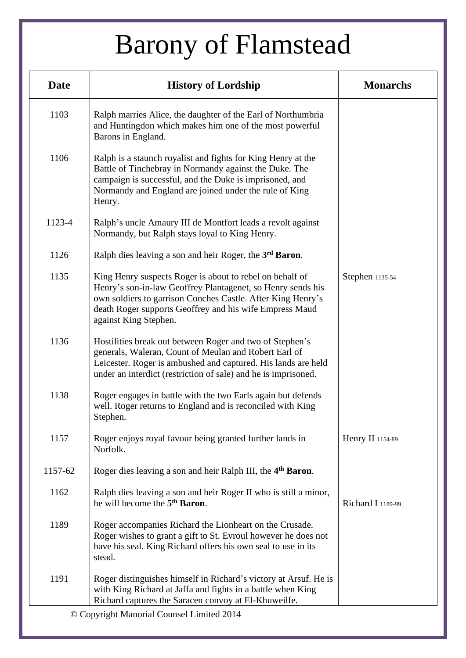| <b>Date</b> | <b>History of Lordship</b>                                                                                                                                                                                                                                                 | <b>Monarchs</b>   |
|-------------|----------------------------------------------------------------------------------------------------------------------------------------------------------------------------------------------------------------------------------------------------------------------------|-------------------|
| 1103        | Ralph marries Alice, the daughter of the Earl of Northumbria<br>and Huntingdon which makes him one of the most powerful<br>Barons in England.                                                                                                                              |                   |
| 1106        | Ralph is a staunch royalist and fights for King Henry at the<br>Battle of Tinchebray in Normandy against the Duke. The<br>campaign is successful, and the Duke is imprisoned, and<br>Normandy and England are joined under the rule of King<br>Henry.                      |                   |
| 1123-4      | Ralph's uncle Amaury III de Montfort leads a revolt against<br>Normandy, but Ralph stays loyal to King Henry.                                                                                                                                                              |                   |
| 1126        | Ralph dies leaving a son and heir Roger, the 3 <sup>rd</sup> Baron.                                                                                                                                                                                                        |                   |
| 1135        | King Henry suspects Roger is about to rebel on behalf of<br>Henry's son-in-law Geoffrey Plantagenet, so Henry sends his<br>own soldiers to garrison Conches Castle. After King Henry's<br>death Roger supports Geoffrey and his wife Empress Maud<br>against King Stephen. | Stephen 1135-54   |
| 1136        | Hostilities break out between Roger and two of Stephen's<br>generals, Waleran, Count of Meulan and Robert Earl of<br>Leicester. Roger is ambushed and captured. His lands are held<br>under an interdict (restriction of sale) and he is imprisoned.                       |                   |
| 1138        | Roger engages in battle with the two Earls again but defends<br>well. Roger returns to England and is reconciled with King<br>Stephen.                                                                                                                                     |                   |
| 1157        | Roger enjoys royal favour being granted further lands in<br>Norfolk.                                                                                                                                                                                                       | Henry II 1154-89  |
| 1157-62     | Roger dies leaving a son and heir Ralph III, the 4 <sup>th</sup> Baron.                                                                                                                                                                                                    |                   |
| 1162        | Ralph dies leaving a son and heir Roger II who is still a minor,<br>he will become the 5 <sup>th</sup> Baron.                                                                                                                                                              | Richard I 1189-99 |
| 1189        | Roger accompanies Richard the Lionheart on the Crusade.<br>Roger wishes to grant a gift to St. Evroul however he does not<br>have his seal. King Richard offers his own seal to use in its<br>stead.                                                                       |                   |
| 1191        | Roger distinguishes himself in Richard's victory at Arsuf. He is<br>with King Richard at Jaffa and fights in a battle when King<br>Richard captures the Saracen convoy at El-Khuweilfe.                                                                                    |                   |
|             | © Copyright Manorial Counsel Limited 2014                                                                                                                                                                                                                                  |                   |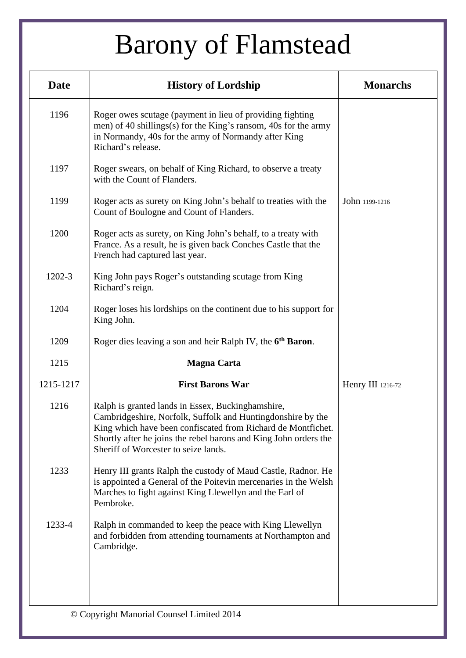| <b>Date</b> | <b>History of Lordship</b>                                                                                                                                                                                                                                                                   | <b>Monarchs</b>          |
|-------------|----------------------------------------------------------------------------------------------------------------------------------------------------------------------------------------------------------------------------------------------------------------------------------------------|--------------------------|
| 1196        | Roger owes scutage (payment in lieu of providing fighting<br>men) of 40 shillings(s) for the King's ransom, 40s for the army<br>in Normandy, 40s for the army of Normandy after King<br>Richard's release.                                                                                   |                          |
| 1197        | Roger swears, on behalf of King Richard, to observe a treaty<br>with the Count of Flanders.                                                                                                                                                                                                  |                          |
| 1199        | Roger acts as surety on King John's behalf to treaties with the<br>Count of Boulogne and Count of Flanders.                                                                                                                                                                                  | John 1199-1216           |
| 1200        | Roger acts as surety, on King John's behalf, to a treaty with<br>France. As a result, he is given back Conches Castle that the<br>French had captured last year.                                                                                                                             |                          |
| 1202-3      | King John pays Roger's outstanding scutage from King<br>Richard's reign.                                                                                                                                                                                                                     |                          |
| 1204        | Roger loses his lordships on the continent due to his support for<br>King John.                                                                                                                                                                                                              |                          |
| 1209        | Roger dies leaving a son and heir Ralph IV, the 6 <sup>th</sup> Baron.                                                                                                                                                                                                                       |                          |
| 1215        | <b>Magna Carta</b>                                                                                                                                                                                                                                                                           |                          |
| 1215-1217   | <b>First Barons War</b>                                                                                                                                                                                                                                                                      | <b>Henry III</b> 1216-72 |
| 1216        | Ralph is granted lands in Essex, Buckinghamshire,<br>Cambridgeshire, Norfolk, Suffolk and Huntingdonshire by the<br>King which have been confiscated from Richard de Montfichet.<br>Shortly after he joins the rebel barons and King John orders the<br>Sheriff of Worcester to seize lands. |                          |
| 1233        | Henry III grants Ralph the custody of Maud Castle, Radnor. He<br>is appointed a General of the Poitevin mercenaries in the Welsh<br>Marches to fight against King Llewellyn and the Earl of<br>Pembroke.                                                                                     |                          |
| 1233-4      | Ralph in commanded to keep the peace with King Llewellyn<br>and forbidden from attending tournaments at Northampton and<br>Cambridge.                                                                                                                                                        |                          |
|             |                                                                                                                                                                                                                                                                                              |                          |
|             | © Copyright Manorial Counsel Limited 2014                                                                                                                                                                                                                                                    |                          |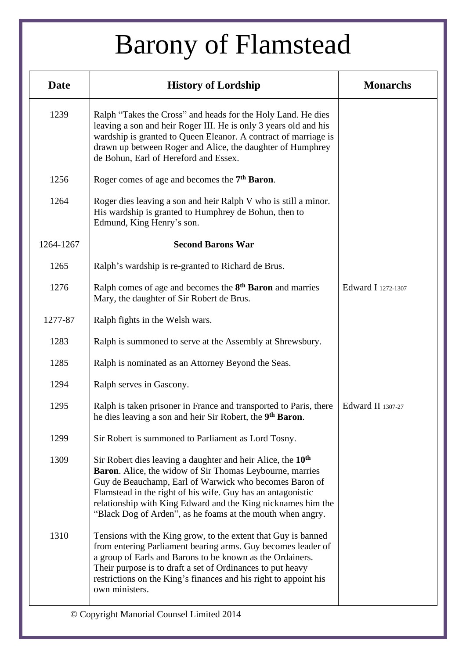| <b>Date</b> | <b>History of Lordship</b>                                                                                                                                                                                                                                                                                                                                                                        | <b>Monarchs</b>    |
|-------------|---------------------------------------------------------------------------------------------------------------------------------------------------------------------------------------------------------------------------------------------------------------------------------------------------------------------------------------------------------------------------------------------------|--------------------|
| 1239        | Ralph "Takes the Cross" and heads for the Holy Land. He dies<br>leaving a son and heir Roger III. He is only 3 years old and his<br>wardship is granted to Queen Eleanor. A contract of marriage is<br>drawn up between Roger and Alice, the daughter of Humphrey<br>de Bohun, Earl of Hereford and Essex.                                                                                        |                    |
| 1256        | Roger comes of age and becomes the 7 <sup>th</sup> Baron.                                                                                                                                                                                                                                                                                                                                         |                    |
| 1264        | Roger dies leaving a son and heir Ralph V who is still a minor.<br>His wardship is granted to Humphrey de Bohun, then to<br>Edmund, King Henry's son.                                                                                                                                                                                                                                             |                    |
| 1264-1267   | <b>Second Barons War</b>                                                                                                                                                                                                                                                                                                                                                                          |                    |
| 1265        | Ralph's wardship is re-granted to Richard de Brus.                                                                                                                                                                                                                                                                                                                                                |                    |
| 1276        | Ralph comes of age and becomes the 8 <sup>th</sup> Baron and marries<br>Mary, the daughter of Sir Robert de Brus.                                                                                                                                                                                                                                                                                 | Edward I 1272-1307 |
| 1277-87     | Ralph fights in the Welsh wars.                                                                                                                                                                                                                                                                                                                                                                   |                    |
| 1283        | Ralph is summoned to serve at the Assembly at Shrewsbury.                                                                                                                                                                                                                                                                                                                                         |                    |
| 1285        | Ralph is nominated as an Attorney Beyond the Seas.                                                                                                                                                                                                                                                                                                                                                |                    |
| 1294        | Ralph serves in Gascony.                                                                                                                                                                                                                                                                                                                                                                          |                    |
| 1295        | Ralph is taken prisoner in France and transported to Paris, there<br>he dies leaving a son and heir Sir Robert, the 9 <sup>th</sup> Baron.                                                                                                                                                                                                                                                        | Edward II 1307-27  |
| 1299        | Sir Robert is summoned to Parliament as Lord Tosny.                                                                                                                                                                                                                                                                                                                                               |                    |
| 1309        | Sir Robert dies leaving a daughter and heir Alice, the 10 <sup>th</sup><br><b>Baron.</b> Alice, the widow of Sir Thomas Leybourne, marries<br>Guy de Beauchamp, Earl of Warwick who becomes Baron of<br>Flamstead in the right of his wife. Guy has an antagonistic<br>relationship with King Edward and the King nicknames him the<br>"Black Dog of Arden", as he foams at the mouth when angry. |                    |
| 1310        | Tensions with the King grow, to the extent that Guy is banned<br>from entering Parliament bearing arms. Guy becomes leader of<br>a group of Earls and Barons to be known as the Ordainers.<br>Their purpose is to draft a set of Ordinances to put heavy<br>restrictions on the King's finances and his right to appoint his<br>own ministers.                                                    |                    |
|             | © Copyright Manorial Counsel Limited 2014                                                                                                                                                                                                                                                                                                                                                         |                    |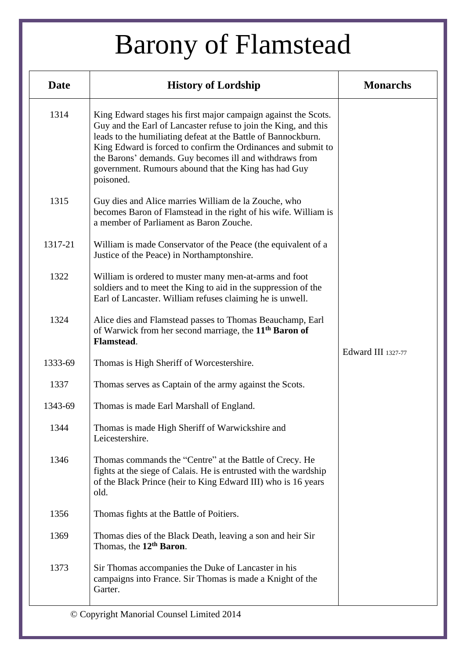| <b>Date</b> | <b>History of Lordship</b>                                                                                                                                                                                                                                                                                                                                                                          | <b>Monarchs</b>    |
|-------------|-----------------------------------------------------------------------------------------------------------------------------------------------------------------------------------------------------------------------------------------------------------------------------------------------------------------------------------------------------------------------------------------------------|--------------------|
| 1314        | King Edward stages his first major campaign against the Scots.<br>Guy and the Earl of Lancaster refuse to join the King, and this<br>leads to the humiliating defeat at the Battle of Bannockburn.<br>King Edward is forced to confirm the Ordinances and submit to<br>the Barons' demands. Guy becomes ill and withdraws from<br>government. Rumours abound that the King has had Guy<br>poisoned. |                    |
| 1315        | Guy dies and Alice marries William de la Zouche, who<br>becomes Baron of Flamstead in the right of his wife. William is<br>a member of Parliament as Baron Zouche.                                                                                                                                                                                                                                  |                    |
| 1317-21     | William is made Conservator of the Peace (the equivalent of a<br>Justice of the Peace) in Northamptonshire.                                                                                                                                                                                                                                                                                         |                    |
| 1322        | William is ordered to muster many men-at-arms and foot<br>soldiers and to meet the King to aid in the suppression of the<br>Earl of Lancaster. William refuses claiming he is unwell.                                                                                                                                                                                                               |                    |
| 1324        | Alice dies and Flamstead passes to Thomas Beauchamp, Earl<br>of Warwick from her second marriage, the 11 <sup>th</sup> Baron of<br>Flamstead.                                                                                                                                                                                                                                                       |                    |
| 1333-69     | Thomas is High Sheriff of Worcestershire.                                                                                                                                                                                                                                                                                                                                                           | Edward III 1327-77 |
| 1337        | Thomas serves as Captain of the army against the Scots.                                                                                                                                                                                                                                                                                                                                             |                    |
| 1343-69     | Thomas is made Earl Marshall of England.                                                                                                                                                                                                                                                                                                                                                            |                    |
| 1344        | Thomas is made High Sheriff of Warwickshire and<br>Leicestershire.                                                                                                                                                                                                                                                                                                                                  |                    |
| 1346        | Thomas commands the "Centre" at the Battle of Crecy. He<br>fights at the siege of Calais. He is entrusted with the wardship<br>of the Black Prince (heir to King Edward III) who is 16 years<br>old.                                                                                                                                                                                                |                    |
| 1356        | Thomas fights at the Battle of Poitiers.                                                                                                                                                                                                                                                                                                                                                            |                    |
| 1369        | Thomas dies of the Black Death, leaving a son and heir Sir<br>Thomas, the 12 <sup>th</sup> Baron.                                                                                                                                                                                                                                                                                                   |                    |
| 1373        | Sir Thomas accompanies the Duke of Lancaster in his<br>campaigns into France. Sir Thomas is made a Knight of the<br>Garter.                                                                                                                                                                                                                                                                         |                    |
|             | © Copyright Manorial Counsel Limited 2014                                                                                                                                                                                                                                                                                                                                                           |                    |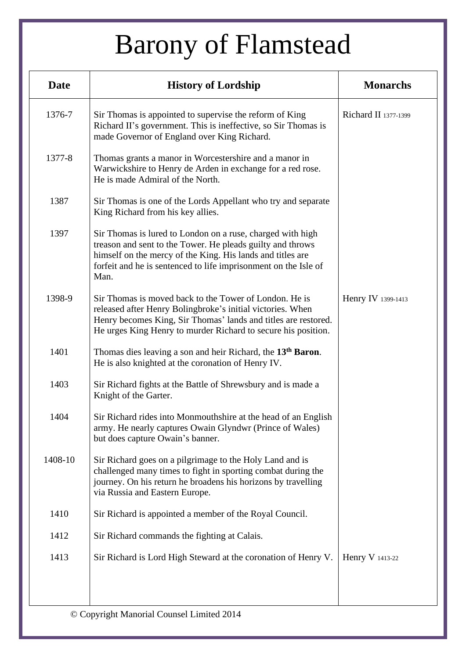| <b>Date</b> | <b>History of Lordship</b>                                                                                                                                                                                                                                        | <b>Monarchs</b>      |
|-------------|-------------------------------------------------------------------------------------------------------------------------------------------------------------------------------------------------------------------------------------------------------------------|----------------------|
| 1376-7      | Sir Thomas is appointed to supervise the reform of King<br>Richard II's government. This is ineffective, so Sir Thomas is<br>made Governor of England over King Richard.                                                                                          | Richard II 1377-1399 |
| 1377-8      | Thomas grants a manor in Worcestershire and a manor in<br>Warwickshire to Henry de Arden in exchange for a red rose.<br>He is made Admiral of the North.                                                                                                          |                      |
| 1387        | Sir Thomas is one of the Lords Appellant who try and separate<br>King Richard from his key allies.                                                                                                                                                                |                      |
| 1397        | Sir Thomas is lured to London on a ruse, charged with high<br>treason and sent to the Tower. He pleads guilty and throws<br>himself on the mercy of the King. His lands and titles are<br>forfeit and he is sentenced to life imprisonment on the Isle of<br>Man. |                      |
| 1398-9      | Sir Thomas is moved back to the Tower of London. He is<br>released after Henry Bolingbroke's initial victories. When<br>Henry becomes King, Sir Thomas' lands and titles are restored.<br>He urges King Henry to murder Richard to secure his position.           | Henry IV 1399-1413   |
| 1401        | Thomas dies leaving a son and heir Richard, the 13 <sup>th</sup> Baron.<br>He is also knighted at the coronation of Henry IV.                                                                                                                                     |                      |
| 1403        | Sir Richard fights at the Battle of Shrewsbury and is made a<br>Knight of the Garter.                                                                                                                                                                             |                      |
| 1404        | Sir Richard rides into Monmouthshire at the head of an English<br>army. He nearly captures Owain Glyndwr (Prince of Wales)<br>but does capture Owain's banner.                                                                                                    |                      |
| 1408-10     | Sir Richard goes on a pilgrimage to the Holy Land and is<br>challenged many times to fight in sporting combat during the<br>journey. On his return he broadens his horizons by travelling<br>via Russia and Eastern Europe.                                       |                      |
| 1410        | Sir Richard is appointed a member of the Royal Council.                                                                                                                                                                                                           |                      |
| 1412        | Sir Richard commands the fighting at Calais.                                                                                                                                                                                                                      |                      |
| 1413        | Sir Richard is Lord High Steward at the coronation of Henry V.                                                                                                                                                                                                    | Henry V 1413-22      |
|             |                                                                                                                                                                                                                                                                   |                      |
|             | © Copyright Manorial Counsel Limited 2014                                                                                                                                                                                                                         |                      |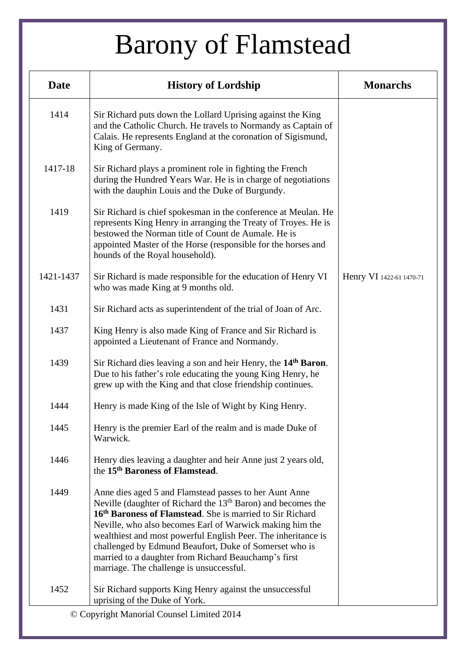| <b>Date</b> | <b>History of Lordship</b>                                                                                                                                                                                                                                                                                                                                                                                                                                                       | <b>Monarchs</b>          |
|-------------|----------------------------------------------------------------------------------------------------------------------------------------------------------------------------------------------------------------------------------------------------------------------------------------------------------------------------------------------------------------------------------------------------------------------------------------------------------------------------------|--------------------------|
| 1414        | Sir Richard puts down the Lollard Uprising against the King<br>and the Catholic Church. He travels to Normandy as Captain of<br>Calais. He represents England at the coronation of Sigismund,<br>King of Germany.                                                                                                                                                                                                                                                                |                          |
| 1417-18     | Sir Richard plays a prominent role in fighting the French<br>during the Hundred Years War. He is in charge of negotiations<br>with the dauphin Louis and the Duke of Burgundy.                                                                                                                                                                                                                                                                                                   |                          |
| 1419        | Sir Richard is chief spokesman in the conference at Meulan. He<br>represents King Henry in arranging the Treaty of Troyes. He is<br>bestowed the Norman title of Count de Aumale. He is<br>appointed Master of the Horse (responsible for the horses and<br>hounds of the Royal household).                                                                                                                                                                                      |                          |
| 1421-1437   | Sir Richard is made responsible for the education of Henry VI<br>who was made King at 9 months old.                                                                                                                                                                                                                                                                                                                                                                              | Henry VI 1422-61 1470-71 |
| 1431        | Sir Richard acts as superintendent of the trial of Joan of Arc.                                                                                                                                                                                                                                                                                                                                                                                                                  |                          |
| 1437        | King Henry is also made King of France and Sir Richard is<br>appointed a Lieutenant of France and Normandy.                                                                                                                                                                                                                                                                                                                                                                      |                          |
| 1439        | Sir Richard dies leaving a son and heir Henry, the 14 <sup>th</sup> Baron.<br>Due to his father's role educating the young King Henry, he<br>grew up with the King and that close friendship continues.                                                                                                                                                                                                                                                                          |                          |
| 1444        | Henry is made King of the Isle of Wight by King Henry.                                                                                                                                                                                                                                                                                                                                                                                                                           |                          |
| 1445        | Henry is the premier Earl of the realm and is made Duke of<br>Warwick.                                                                                                                                                                                                                                                                                                                                                                                                           |                          |
| 1446        | Henry dies leaving a daughter and heir Anne just 2 years old,<br>the 15 <sup>th</sup> Baroness of Flamstead.                                                                                                                                                                                                                                                                                                                                                                     |                          |
| 1449        | Anne dies aged 5 and Flamstead passes to her Aunt Anne<br>Neville (daughter of Richard the $13th$ Baron) and becomes the<br>16th Baroness of Flamstead. She is married to Sir Richard<br>Neville, who also becomes Earl of Warwick making him the<br>wealthiest and most powerful English Peer. The inheritance is<br>challenged by Edmund Beaufort, Duke of Somerset who is<br>married to a daughter from Richard Beauchamp's first<br>marriage. The challenge is unsuccessful. |                          |
| 1452        | Sir Richard supports King Henry against the unsuccessful<br>uprising of the Duke of York.                                                                                                                                                                                                                                                                                                                                                                                        |                          |
|             | © Copyright Manorial Counsel Limited 2014                                                                                                                                                                                                                                                                                                                                                                                                                                        |                          |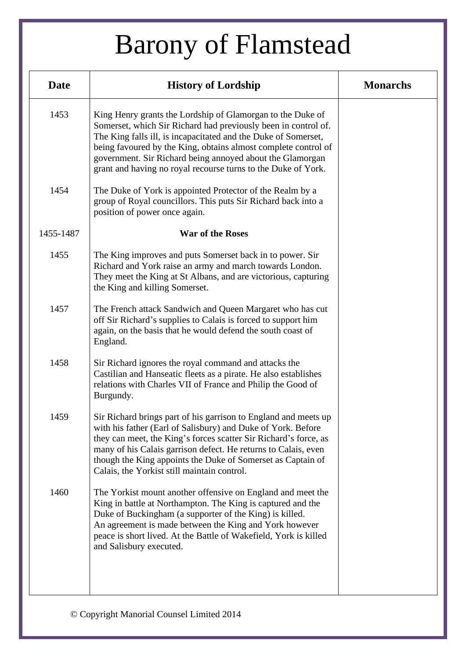| <b>Date</b> | <b>History of Lordship</b>                                                                                                                                                                                                                                                                                                                                                                     | <b>Monarchs</b> |
|-------------|------------------------------------------------------------------------------------------------------------------------------------------------------------------------------------------------------------------------------------------------------------------------------------------------------------------------------------------------------------------------------------------------|-----------------|
| 1453        | King Henry grants the Lordship of Glamorgan to the Duke of<br>Somerset, which Sir Richard had previously been in control of.<br>The King falls ill, is incapacitated and the Duke of Somerset,<br>being favoured by the King, obtains almost complete control of<br>government. Sir Richard being annoyed about the Glamorgan<br>grant and having no royal recourse turns to the Duke of York. |                 |
| 1454        | The Duke of York is appointed Protector of the Realm by a<br>group of Royal councillors. This puts Sir Richard back into a<br>position of power once again.                                                                                                                                                                                                                                    |                 |
| 1455-1487   | <b>War of the Roses</b>                                                                                                                                                                                                                                                                                                                                                                        |                 |
| 1455        | The King improves and puts Somerset back in to power. Sir<br>Richard and York raise an army and march towards London.<br>They meet the King at St Albans, and are victorious, capturing<br>the King and killing Somerset.                                                                                                                                                                      |                 |
| 1457        | The French attack Sandwich and Queen Margaret who has cut<br>off Sir Richard's supplies to Calais is forced to support him<br>again, on the basis that he would defend the south coast of<br>England.                                                                                                                                                                                          |                 |
| 1458        | Sir Richard ignores the royal command and attacks the<br>Castilian and Hanseatic fleets as a pirate. He also establishes<br>relations with Charles VII of France and Philip the Good of<br>Burgundy.                                                                                                                                                                                           |                 |
| 1459        | Sir Richard brings part of his garrison to England and meets up<br>with his father (Earl of Salisbury) and Duke of York. Before<br>they can meet, the King's forces scatter Sir Richard's force, as<br>many of his Calais garrison defect. He returns to Calais, even<br>though the King appoints the Duke of Somerset as Captain of<br>Calais, the Yorkist still maintain control.            |                 |
| 1460        | The Yorkist mount another offensive on England and meet the<br>King in battle at Northampton. The King is captured and the<br>Duke of Buckingham (a supporter of the King) is killed.<br>An agreement is made between the King and York however<br>peace is short lived. At the Battle of Wakefield, York is killed<br>and Salisbury executed.                                                 |                 |
|             |                                                                                                                                                                                                                                                                                                                                                                                                |                 |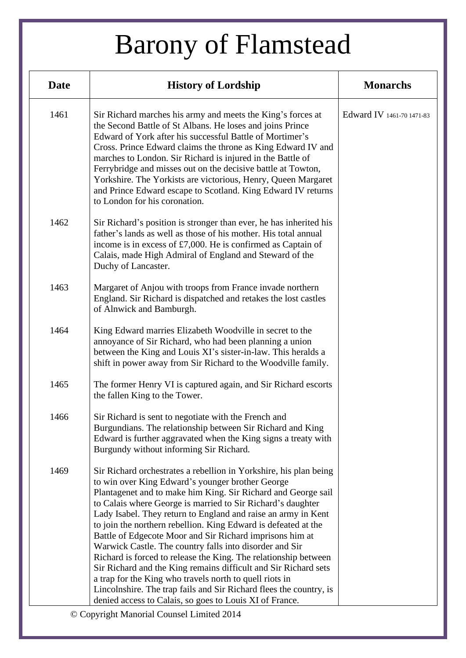| <b>Date</b> | <b>History of Lordship</b>                                                                                                                                                                                                                                                                                                                                                                                                                                                                                                                                                                                                                                                                                                                                                                                                                        | <b>Monarchs</b>           |
|-------------|---------------------------------------------------------------------------------------------------------------------------------------------------------------------------------------------------------------------------------------------------------------------------------------------------------------------------------------------------------------------------------------------------------------------------------------------------------------------------------------------------------------------------------------------------------------------------------------------------------------------------------------------------------------------------------------------------------------------------------------------------------------------------------------------------------------------------------------------------|---------------------------|
| 1461        | Sir Richard marches his army and meets the King's forces at<br>the Second Battle of St Albans. He loses and joins Prince<br>Edward of York after his successful Battle of Mortimer's<br>Cross. Prince Edward claims the throne as King Edward IV and<br>marches to London. Sir Richard is injured in the Battle of<br>Ferrybridge and misses out on the decisive battle at Towton,<br>Yorkshire. The Yorkists are victorious, Henry, Queen Margaret<br>and Prince Edward escape to Scotland. King Edward IV returns<br>to London for his coronation.                                                                                                                                                                                                                                                                                              | Edward IV 1461-70 1471-83 |
| 1462        | Sir Richard's position is stronger than ever, he has inherited his<br>father's lands as well as those of his mother. His total annual<br>income is in excess of $£7,000$ . He is confirmed as Captain of<br>Calais, made High Admiral of England and Steward of the<br>Duchy of Lancaster.                                                                                                                                                                                                                                                                                                                                                                                                                                                                                                                                                        |                           |
| 1463        | Margaret of Anjou with troops from France invade northern<br>England. Sir Richard is dispatched and retakes the lost castles<br>of Alnwick and Bamburgh.                                                                                                                                                                                                                                                                                                                                                                                                                                                                                                                                                                                                                                                                                          |                           |
| 1464        | King Edward marries Elizabeth Woodville in secret to the<br>annoyance of Sir Richard, who had been planning a union<br>between the King and Louis XI's sister-in-law. This heralds a<br>shift in power away from Sir Richard to the Woodville family.                                                                                                                                                                                                                                                                                                                                                                                                                                                                                                                                                                                             |                           |
| 1465        | The former Henry VI is captured again, and Sir Richard escorts<br>the fallen King to the Tower.                                                                                                                                                                                                                                                                                                                                                                                                                                                                                                                                                                                                                                                                                                                                                   |                           |
| 1466        | Sir Richard is sent to negotiate with the French and<br>Burgundians. The relationship between Sir Richard and King<br>Edward is further aggravated when the King signs a treaty with<br>Burgundy without informing Sir Richard.                                                                                                                                                                                                                                                                                                                                                                                                                                                                                                                                                                                                                   |                           |
| 1469        | Sir Richard orchestrates a rebellion in Yorkshire, his plan being<br>to win over King Edward's younger brother George<br>Plantagenet and to make him King. Sir Richard and George sail<br>to Calais where George is married to Sir Richard's daughter<br>Lady Isabel. They return to England and raise an army in Kent<br>to join the northern rebellion. King Edward is defeated at the<br>Battle of Edgecote Moor and Sir Richard imprisons him at<br>Warwick Castle. The country falls into disorder and Sir<br>Richard is forced to release the King. The relationship between<br>Sir Richard and the King remains difficult and Sir Richard sets<br>a trap for the King who travels north to quell riots in<br>Lincolnshire. The trap fails and Sir Richard flees the country, is<br>denied access to Calais, so goes to Louis XI of France. |                           |

© Copyright Manorial Counsel Limited 2014